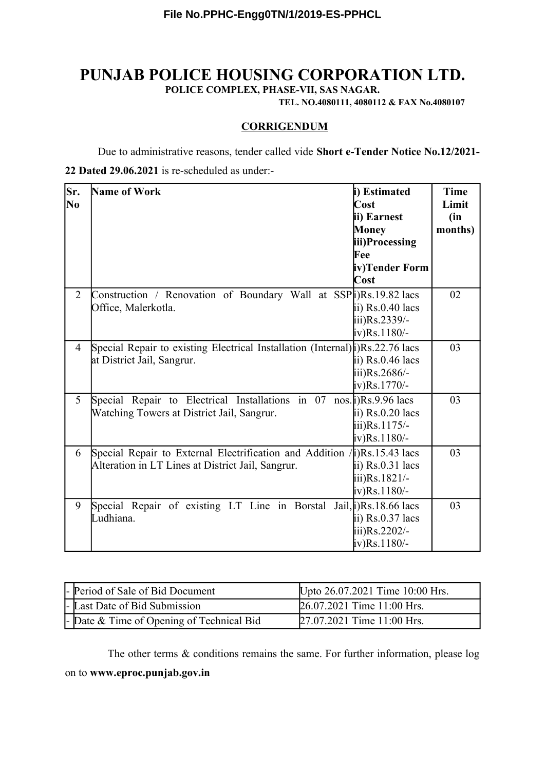## **PUNJAB POLICE HOUSING CORPORATION LTD.**

**POLICE COMPLEX, PHASE-VII, SAS NAGAR.**

**TEL. NO.4080111, 4080112 & FAX No.4080107**

## **CORRIGENDUM**

Due to administrative reasons, tender called vide **Short e-Tender Notice No.12/2021-**

## **22 Dated 29.06.2021** is re-scheduled as under:-

| Sr.<br>No      | <b>Name of Work</b>                                                                                                                  | i) Estimated<br>Cost<br>ii) Earnest<br><b>Money</b><br>iii)Processing<br>Fee<br>iv)Tender Form<br>Cost | <b>Time</b><br>Limit<br>(in<br>months) |
|----------------|--------------------------------------------------------------------------------------------------------------------------------------|--------------------------------------------------------------------------------------------------------|----------------------------------------|
| $\overline{2}$ | Construction / Renovation of Boundary Wall at SSP(i)Rs.19.82 lacs<br>Office, Malerkotla.                                             | ii) $Rs.0.40$ lacs<br>iii)Rs.2339/-<br>iv)Rs.1180/-                                                    | 02                                     |
| $\overline{4}$ | Special Repair to existing Electrical Installation (Internal) (i) Rs. 22.76 lacs<br>at District Jail, Sangrur.                       | ii) $Rs.0.46$ lacs<br>iii)Rs.2686/-<br>iv)Rs.1770/-                                                    | 03                                     |
| 5              | Special Repair to Electrical Installations in $07 \text{ nos.}  i\rangle$ Rs.9.96 lacs<br>Watching Towers at District Jail, Sangrur. | ii) $Rs.0.20$ lacs<br>iii)Rs.1175/-<br>iv)Rs.1180/-                                                    | 03                                     |
| 6              | Special Repair to External Electrification and Addition $\ln$ Rs.15.43 lacs<br>Alteration in LT Lines at District Jail, Sangrur.     | ii) $Rs.0.31$ lacs<br>iii)Rs.1821/-<br>iv)Rs.1180/-                                                    | 03                                     |
| 9              | Special Repair of existing LT Line in Borstal Jail, $j$ )Rs. 18.66 lacs<br>Ludhiana.                                                 | ii) $Rs.0.37$ lacs<br>iii)Rs.2202/-<br>iv)Rs.1180/-                                                    | 03                                     |

| - Period of Sale of Bid Document                  | Upto 26.07.2021 Time 10:00 Hrs. |
|---------------------------------------------------|---------------------------------|
| - Last Date of Bid Submission                     | 26.07.2021 Time 11:00 Hrs.      |
| $\vert$ - Date & Time of Opening of Technical Bid | 27.07.2021 Time 11:00 Hrs.      |

The other terms & conditions remains the same. For further information, please log on to **www.eproc.punjab.gov.in**